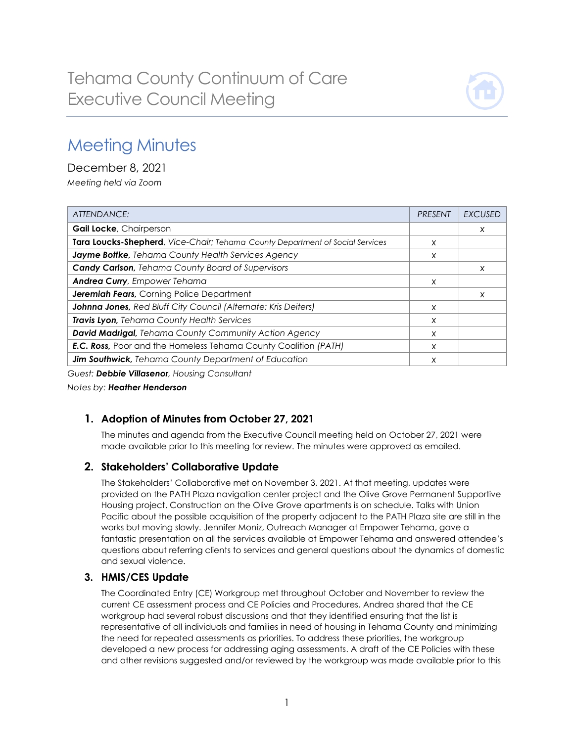

# Meeting Minutes

December 8, 2021 *Meeting held via Zoom*

| ATTENDANCE:                                                                   | <b>PRESENT</b> | <b>EXCUSED</b>            |
|-------------------------------------------------------------------------------|----------------|---------------------------|
| <b>Gail Locke, Chairperson</b>                                                |                | $\boldsymbol{\mathsf{x}}$ |
| Tara Loucks-Shepherd, Vice-Chair; Tehama County Department of Social Services | X              |                           |
| Jayme Bottke, Tehama County Health Services Agency                            | X              |                           |
| <b>Candy Carlson, Tehama County Board of Supervisors</b>                      |                | X                         |
| <b>Andrea Curry</b> , Empower Tehama                                          | X              |                           |
| Jeremiah Fears, Corning Police Department                                     |                | X                         |
| Johnna Jones, Red Bluff City Council (Alternate: Kris Deiters)                | X              |                           |
| Travis Lyon, Tehama County Health Services                                    | X              |                           |
| <b>David Madrigal, Tehama County Community Action Agency</b>                  | X              |                           |
| <b>E.C. Ross, Poor and the Homeless Tehama County Coalition (PATH)</b>        | X              |                           |
| Jim Southwick, Tehama County Department of Education                          | x              |                           |

*Guest: Debbie Villasenor, Housing Consultant*

*Notes by: Heather Henderson*

## **1. Adoption of Minutes from October 27, 2021**

The minutes and agenda from the Executive Council meeting held on October 27, 2021 were made available prior to this meeting for review. The minutes were approved as emailed.

## **2. Stakeholders' Collaborative Update**

The Stakeholders' Collaborative met on November 3, 2021. At that meeting, updates were provided on the PATH Plaza navigation center project and the Olive Grove Permanent Supportive Housing project. Construction on the Olive Grove apartments is on schedule. Talks with Union Pacific about the possible acquisition of the property adjacent to the PATH Plaza site are still in the works but moving slowly. Jennifer Moniz, Outreach Manager at Empower Tehama, gave a fantastic presentation on all the services available at Empower Tehama and answered attendee's questions about referring clients to services and general questions about the dynamics of domestic and sexual violence.

## **3. HMIS/CES Update**

The Coordinated Entry (CE) Workgroup met throughout October and November to review the current CE assessment process and CE Policies and Procedures. Andrea shared that the CE workgroup had several robust discussions and that they identified ensuring that the list is representative of all individuals and families in need of housing in Tehama County and minimizing the need for repeated assessments as priorities. To address these priorities, the workgroup developed a new process for addressing aging assessments. A draft of the CE Policies with these and other revisions suggested and/or reviewed by the workgroup was made available prior to this